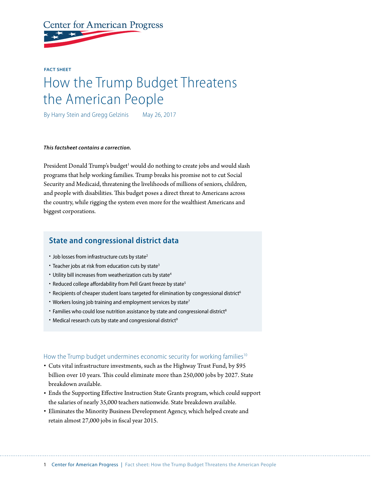**Center for American Progress** 

**FACT SHEET**

# How the Trump Budget Threatens the American People

By Harry Stein and Gregg Gelzinis May 26, 2017

#### *This factsheet contains a correction.*

President Donald Trump's budget<sup>1</sup> would do nothing to create jobs and would slash programs that help working families. Trump breaks his promise not to cut Social Security and Medicaid, threatening the livelihoods of millions of seniors, children, and people with disabilities. This budget poses a direct threat to Americans across the country, while rigging the system even more for the wealthiest Americans and biggest corporations.

## **State and congressional district data**

- $\cdot$  Job losses from infrastructure cuts by state<sup>2</sup>
- Teacher jobs at risk from education cuts by state<sup>3</sup>
- Utility bill increases from weatherization cuts by state<sup>4</sup>
- Reduced college affordability from Pell Grant freeze by state<sup>5</sup>
- Recipients of cheaper student loans targeted for elimination by congressional district<sup>6</sup>
- Workers losing job training and employment services by state<sup>7</sup>
- Families who could lose nutrition assistance by state and congressional district<sup>8</sup>
- Medical research cuts by state and congressional district<sup>9</sup>

#### How the Trump budget undermines economic security for working families<sup>10</sup>

- Cuts vital infrastructure investments, such as the Highway Trust Fund, by \$95 billion over 10 years. This could eliminate more than 250,000 jobs by 2027. State breakdown available.
- Ends the Supporting Effective Instruction State Grants program, which could support the salaries of nearly 35,000 teachers nationwide. State breakdown available.
- Eliminates the Minority Business Development Agency, which helped create and retain almost 27,000 jobs in fiscal year 2015.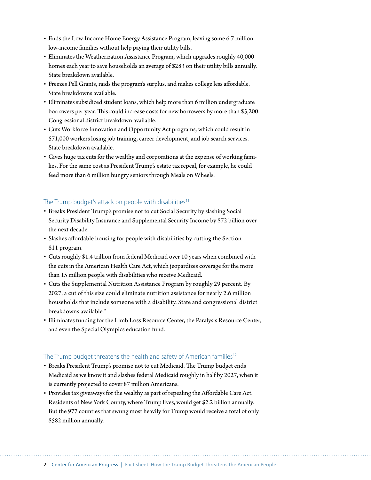- Ends the Low-Income Home Energy Assistance Program, leaving some 6.7 million low-income families without help paying their utility bills.
- Eliminates the Weatherization Assistance Program, which upgrades roughly 40,000 homes each year to save households an average of \$283 on their utility bills annually. State breakdown available.
- Freezes Pell Grants, raids the program's surplus, and makes college less affordable. State breakdowns available.
- Eliminates subsidized student loans, which help more than 6 million undergraduate borrowers per year. This could increase costs for new borrowers by more than \$5,200. Congressional district breakdown available.
- Cuts Workforce Innovation and Opportunity Act programs, which could result in 571,000 workers losing job training, career development, and job search services. State breakdown available.
- Gives huge tax cuts for the wealthy and corporations at the expense of working families. For the same cost as President Trump's estate tax repeal, for example, he could feed more than 6 million hungry seniors through Meals on Wheels.

### The Trump budget's attack on people with disabilities<sup>11</sup>

- Breaks President Trump's promise not to cut Social Security by slashing Social Security Disability Insurance and Supplemental Security Income by \$72 billion over the next decade.
- Slashes affordable housing for people with disabilities by cutting the Section 811 program.
- Cuts roughly \$1.4 trillion from federal Medicaid over 10 years when combined with the cuts in the American Health Care Act, which jeopardizes coverage for the more than 15 million people with disabilities who receive Medicaid.
- Cuts the Supplemental Nutrition Assistance Program by roughly 29 percent. By 2027, a cut of this size could eliminate nutrition assistance for nearly 2.6 million households that include someone with a disability. State and congressional district breakdowns available.\*
- Eliminates funding for the Limb Loss Resource Center, the Paralysis Resource Center, and even the Special Olympics education fund.

#### The Trump budget threatens the health and safety of American families<sup>12</sup>

- Breaks President Trump's promise not to cut Medicaid. The Trump budget ends Medicaid as we know it and slashes federal Medicaid roughly in half by 2027, when it is currently projected to cover 87 million Americans.
- Provides tax giveaways for the wealthy as part of repealing the Affordable Care Act. Residents of New York County, where Trump lives, would get \$2.2 billion annually. But the 977 counties that swung most heavily for Trump would receive a total of only \$582 million annually.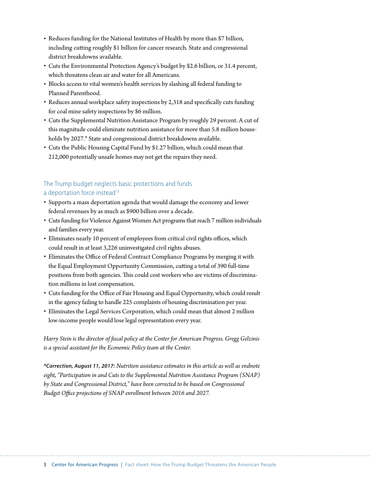- Reduces funding for the National Institutes of Health by more than \$7 billion, including cutting roughly \$1 billion for cancer research. State and congressional district breakdowns available.
- Cuts the Environmental Protection Agency's budget by \$2.6 billion, or 31.4 percent, which threatens clean air and water for all Americans.
- Blocks access to vital women's health services by slashing all federal funding to Planned Parenthood.
- Reduces annual workplace safety inspections by 2,318 and specifically cuts funding for coal mine safety inspections by \$6 million.
- Cuts the Supplemental Nutrition Assistance Program by roughly 29 percent. A cut of this magnitude could eliminate nutrition assistance for more than 5.8 million households by 2027.\* State and congressional district breakdowns available.
- Cuts the Public Housing Capital Fund by \$1.27 billion, which could mean that 212,000 potentially unsafe homes may not get the repairs they need.

## The Trump budget neglects basic protections and funds a deportation force instead<sup>13</sup>

- Supports a mass deportation agenda that would damage the economy and lower federal revenues by as much as \$900 billion over a decade.
- Cuts funding for Violence Against Women Act programs that reach 7 million individuals and families every year.
- Eliminates nearly 10 percent of employees from critical civil rights offices, which could result in at least 3,226 uninvestigated civil rights abuses.
- Eliminates the Office of Federal Contract Compliance Programs by merging it with the Equal Employment Opportunity Commission, cutting a total of 390 full-time positions from both agencies. This could cost workers who are victims of discrimination millions in lost compensation.
- Cuts funding for the Office of Fair Housing and Equal Opportunity, which could result in the agency failing to handle 225 complaints of housing discrimination per year.
- Eliminates the Legal Services Corporation, which could mean that almost 2 million low-income people would lose legal representation every year.

*Harry Stein is the director of fiscal policy at the Center for American Progress. Gregg Gelzinis is a special assistant for the Economic Policy team at the Center.*

*\*Correction, August 11, 2017: Nutrition assistance estimates in this article as well as endnote eight, "Participation in and Cuts to the Supplemental Nutrition Assistance Program (SNAP) by State and Congressional District," have been corrected to be based on Congressional Budget Office projections of SNAP enrollment between 2016 and 2027.*